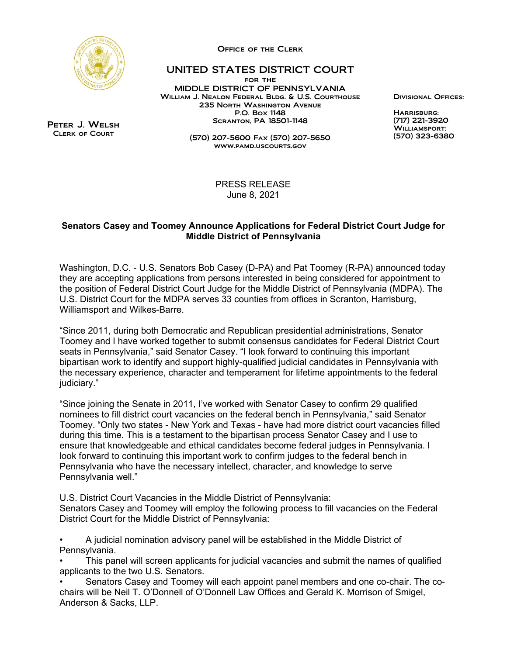

Office of the Clerk

## UNITED STATES DISTRICT COURT

for the MIDDLE DISTRICT OF PENNSYLVANIA William J. Nealon Federal Bldg. & U.S. Courthouse 235 North Washington Avenue P.O. Box 1148 Scranton, PA 18501-1148

> (570) 207-5600 Fax (570) 207-5650 www.pamd.uscourts.gov

Divisional Offices:

 $H$ ADDICBLIDG: (717) 221-3920 WILLIAMSPORT: (570) 323-6380

Peter J. Welsh Clerk of Court

> PRESS RELEASE June 8, 2021

## **Senators Casey and Toomey Announce Applications for Federal District Court Judge for Middle District of Pennsylvania**

Washington, D.C. - U.S. Senators Bob Casey (D-PA) and Pat Toomey (R-PA) announced today they are accepting applications from persons interested in being considered for appointment to the position of Federal District Court Judge for the Middle District of Pennsylvania (MDPA). The U.S. District Court for the MDPA serves 33 counties from offices in Scranton, Harrisburg, Williamsport and Wilkes-Barre.

"Since 2011, during both Democratic and Republican presidential administrations, Senator Toomey and I have worked together to submit consensus candidates for Federal District Court seats in Pennsylvania," said Senator Casey. "I look forward to continuing this important bipartisan work to identify and support highly-qualified judicial candidates in Pennsylvania with the necessary experience, character and temperament for lifetime appointments to the federal judiciary."

"Since joining the Senate in 2011, I've worked with Senator Casey to confirm 29 qualified nominees to fill district court vacancies on the federal bench in Pennsylvania," said Senator Toomey. "Only two states - New York and Texas - have had more district court vacancies filled during this time. This is a testament to the bipartisan process Senator Casey and I use to ensure that knowledgeable and ethical candidates become federal judges in Pennsylvania. I look forward to continuing this important work to confirm judges to the federal bench in Pennsylvania who have the necessary intellect, character, and knowledge to serve Pennsylvania well."

U.S. District Court Vacancies in the Middle District of Pennsylvania:

Senators Casey and Toomey will employ the following process to fill vacancies on the Federal District Court for the Middle District of Pennsylvania:

• A judicial nomination advisory panel will be established in the Middle District of Pennsylvania.

• This panel will screen applicants for judicial vacancies and submit the names of qualified applicants to the two U.S. Senators.

• Senators Casey and Toomey will each appoint panel members and one co-chair. The cochairs will be Neil T. O'Donnell of O'Donnell Law Offices and Gerald K. Morrison of Smigel, Anderson & Sacks, LLP.